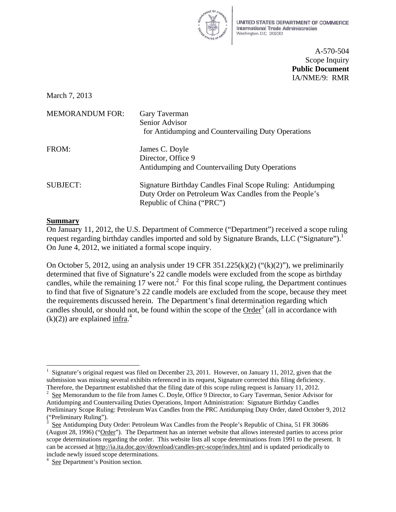

UNITED STATES DEPARTMENT OF COMMERCE **International Trade Administration** Washington, D.C. 20230

> A-570-504 Scope Inquiry **Public Document**  IA/NME/9: RMR

March 7, 2013

| <b>MEMORANDUM FOR:</b> | Gary Taverman<br>Senior Advisor<br>for Antidumping and Countervailing Duty Operations                                                            |
|------------------------|--------------------------------------------------------------------------------------------------------------------------------------------------|
| FROM:                  | James C. Doyle<br>Director, Office 9<br>Antidumping and Countervailing Duty Operations                                                           |
| <b>SUBJECT:</b>        | Signature Birthday Candles Final Scope Ruling: Antidumping<br>Duty Order on Petroleum Wax Candles from the People's<br>Republic of China ("PRC") |

#### **Summary**

On January 11, 2012, the U.S. Department of Commerce ("Department") received a scope ruling request regarding birthday candles imported and sold by Signature Brands, LLC ("Signature").<sup>[1](#page-0-0)</sup> On June 4, 2012, we initiated a formal scope inquiry.

On October 5, 2012, using an analysis under 19 CFR  $351.225(k)(2)$  (" $(k)(2)$ "), we preliminarily determined that five of Signature's 22 candle models were excluded from the scope as birthday candles, while the remaining 17 were not.<sup>[2](#page-0-1)</sup> For this final scope ruling, the Department continues to find that five of Signature's 22 candle models are excluded from the scope, because they meet the requirements discussed herein. The Department's final determination regarding which candles should, or should not, be found within the scope of the  $Order<sup>3</sup>$  $Order<sup>3</sup>$  $Order<sup>3</sup>$  (all in accordance with  $(k)(2)$  are explained infra.<sup>[4](#page-0-3)</sup>

<span id="page-0-0"></span> 1 Signature's original request was filed on December 23, 2011. However, on January 11, 2012, given that the submission was missing several exhibits referenced in its request, Signature corrected this filing deficiency. Therefore, the Department established that the filing date of this scope ruling request is January 11, 2012. 2

<span id="page-0-1"></span>See Memorandum to the file from James C. Doyle, Office 9 Director, to Gary Taverman, Senior Advisor for Antidumping and Countervailing Duties Operations, Import Administration: Signature Birthday Candles Preliminary Scope Ruling: Petroleum Wax Candles from the PRC Antidumping Duty Order, dated October 9, 2012 ("Preliminary Ruling").

<span id="page-0-2"></span><sup>3</sup> See Antidumping Duty Order: Petroleum Wax Candles from the People's Republic of China, 51 FR 30686 (August 28, 1996) ("Order"). The Department has an internet website that allows interested parties to access prior scope determinations regarding the order. This website lists all scope determinations from 1991 to the present. It can be accessed at<http://ia.ita.doc.gov/download/candles-prc-scope/index.html>and is updated periodically to include newly issued scope determinations.

<span id="page-0-3"></span><sup>4</sup> See Department's Position section.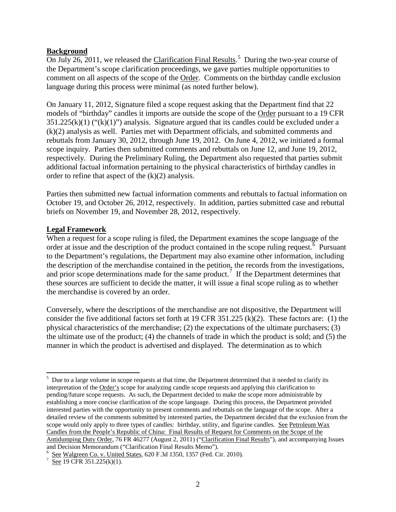## **Background**

On July 26, 2011, we released the Clarification Final Results.<sup>[5](#page-1-0)</sup> During the two-year course of the Department's scope clarification proceedings, we gave parties multiple opportunities to comment on all aspects of the scope of the Order. Comments on the birthday candle exclusion language during this process were minimal (as noted further below).

On January 11, 2012, Signature filed a scope request asking that the Department find that 22 models of "birthday" candles it imports are outside the scope of the Order pursuant to a 19 CFR  $351.225(k)(1)$  ("(k)(1)") analysis. Signature argued that its candles could be excluded under a (k)(2) analysis as well. Parties met with Department officials, and submitted comments and rebuttals from January 30, 2012, through June 19, 2012. On June 4, 2012, we initiated a formal scope inquiry. Parties then submitted comments and rebuttals on June 12, and June 19, 2012, respectively. During the Preliminary Ruling, the Department also requested that parties submit additional factual information pertaining to the physical characteristics of birthday candles in order to refine that aspect of the (k)(2) analysis.

Parties then submitted new factual information comments and rebuttals to factual information on October 19, and October 26, 2012, respectively. In addition, parties submitted case and rebuttal briefs on November 19, and November 28, 2012, respectively.

#### **Legal Framework**

When a request for a scope ruling is filed, the Department examines the scope language of the order at issue and the description of the product contained in the scope ruling request.<sup> $\overline{6}$  $\overline{6}$  $\overline{6}$ </sup> Pursuant to the Department's regulations, the Department may also examine other information, including the description of the merchandise contained in the petition, the records from the investigations, and prior scope determinations made for the same product.<sup>[7](#page-1-2)</sup> If the Department determines that these sources are sufficient to decide the matter, it will issue a final scope ruling as to whether the merchandise is covered by an order.

Conversely, where the descriptions of the merchandise are not dispositive, the Department will consider the five additional factors set forth at 19 CFR 351.225  $(k)(2)$ . These factors are: (1) the physical characteristics of the merchandise; (2) the expectations of the ultimate purchasers; (3) the ultimate use of the product; (4) the channels of trade in which the product is sold; and (5) the manner in which the product is advertised and displayed. The determination as to which

<span id="page-1-0"></span> $5$  Due to a large volume in scope requests at that time, the Department determined that it needed to clarify its interpretation of the Order's scope for analyzing candle scope requests and applying this clarification to pending/future scope requests. As such, the Department decided to make the scope more administrable by establishing a more concise clarification of the scope language. During this process, the Department provided interested parties with the opportunity to present comments and rebuttals on the language of the scope. After a detailed review of the comments submitted by interested parties, the Department decided that the exclusion from the scope would only apply to three types of candles: birthday, utility, and figurine candles. See Petroleum Wax Candles from the People's Republic of China: Final Results of Request for Comments on the Scope of the Antidumping Duty Order, 76 FR 46277 (August 2, 2011) ("Clarification Final Results"), and accompanying Issues and Decision Memorandum ("Clarification Final Results Memo").

<span id="page-1-1"></span> $\frac{6}{7}$  See Walgreen Co. v. United States, 620 F.3d 1350, 1357 (Fed. Cir. 2010).

<span id="page-1-2"></span> $\frac{7}{\text{See}}$  19 CFR 351.225(k)(1).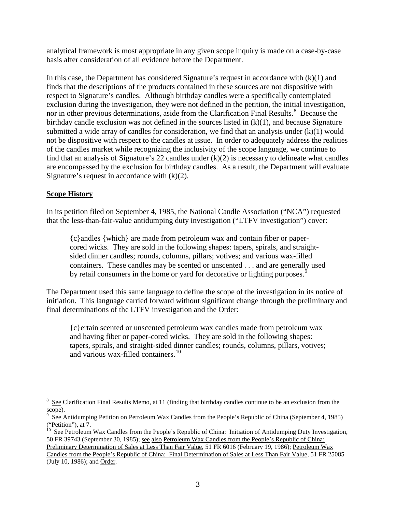analytical framework is most appropriate in any given scope inquiry is made on a case-by-case basis after consideration of all evidence before the Department.

In this case, the Department has considered Signature's request in accordance with  $(k)(1)$  and finds that the descriptions of the products contained in these sources are not dispositive with respect to Signature's candles. Although birthday candles were a specifically contemplated exclusion during the investigation, they were not defined in the petition, the initial investigation, nor in other previous determinations, aside from the Clarification Final Results.<sup>[8](#page-2-0)</sup> Because the birthday candle exclusion was not defined in the sources listed in (k)(1), and because Signature submitted a wide array of candles for consideration, we find that an analysis under  $(k)(1)$  would not be dispositive with respect to the candles at issue. In order to adequately address the realities of the candles market while recognizing the inclusivity of the scope language, we continue to find that an analysis of Signature's 22 candles under (k)(2) is necessary to delineate what candles are encompassed by the exclusion for birthday candles. As a result, the Department will evaluate Signature's request in accordance with  $(k)(2)$ .

# **Scope History**

 $\overline{\phantom{0}}$ 

In its petition filed on September 4, 1985, the National Candle Association ("NCA") requested that the less-than-fair-value antidumping duty investigation ("LTFV investigation") cover:

{c}andles {which} are made from petroleum wax and contain fiber or papercored wicks. They are sold in the following shapes: tapers, spirals, and straightsided dinner candles; rounds, columns, pillars; votives; and various wax-filled containers. These candles may be scented or unscented . . . and are generally used by retail consumers in the home or yard for decorative or lighting purposes.<sup>[9](#page-2-1)</sup>

The Department used this same language to define the scope of the investigation in its notice of initiation. This language carried forward without significant change through the preliminary and final determinations of the LTFV investigation and the Order:

{c}ertain scented or unscented petroleum wax candles made from petroleum wax and having fiber or paper-cored wicks. They are sold in the following shapes: tapers, spirals, and straight-sided dinner candles; rounds, columns, pillars, votives; and various wax-filled containers. $10<sup>10</sup>$  $10<sup>10</sup>$ 

<span id="page-2-0"></span><sup>8</sup> See Clarification Final Results Memo, at 11 (finding that birthday candles continue to be an exclusion from the scope).

<span id="page-2-1"></span><sup>9</sup> See Antidumping Petition on Petroleum Wax Candles from the People's Republic of China (September 4, 1985) ("Petition"), at 7.

<span id="page-2-2"></span><sup>&</sup>lt;sup>10</sup> See Petroleum Wax Candles from the People's Republic of China: Initiation of Antidumping Duty Investigation, 50 FR 39743 (September 30, 1985); see also Petroleum Wax Candles from the People's Republic of China: Preliminary Determination of Sales at Less Than Fair Value, 51 FR 6016 (February 19, 1986); Petroleum Wax Candles from the People's Republic of China: Final Determination of Sales at Less Than Fair Value, 51 FR 25085 (July 10, 1986); and Order.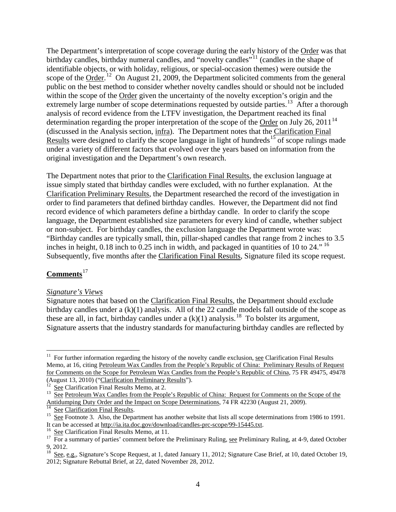The Department's interpretation of scope coverage during the early history of the Order was that birthday candles, birthday numeral candles, and "novelty candles"<sup>[11](#page-3-0)</sup> (candles in the shape of identifiable objects, or with holiday, religious, or special-occasion themes) were outside the scope of the  $Order$ .<sup>12</sup> On August 21, 2009, the Department solicited comments from the general public on the best method to consider whether novelty candles should or should not be included within the scope of the Order given the uncertainty of the novelty exception's origin and the extremely large number of scope determinations requested by outside parties.<sup>13</sup> After a thorough analysis of record evidence from the LTFV investigation, the Department reached its final determination regarding the proper interpretation of the scope of the Order on July 26, 2011<sup>[14](#page-3-3)</sup> (discussed in the Analysis section, infra). The Department notes that the Clarification Final Results were designed to clarify the scope language in light of hundreds<sup>[15](#page-3-4)</sup> of scope rulings made under a variety of different factors that evolved over the years based on information from the original investigation and the Department's own research.

The Department notes that prior to the Clarification Final Results, the exclusion language at issue simply stated that birthday candles were excluded, with no further explanation. At the Clarification Preliminary Results, the Department researched the record of the investigation in order to find parameters that defined birthday candles. However, the Department did not find record evidence of which parameters define a birthday candle. In order to clarify the scope language, the Department established size parameters for every kind of candle, whether subject or non-subject. For birthday candles, the exclusion language the Department wrote was: "Birthday candles are typically small, thin, pillar-shaped candles that range from 2 inches to 3.5 inches in height,  $0.18$  inch to  $0.25$  inch in width, and packaged in quantities of 10 to  $24.^{16}$  $24.^{16}$  $24.^{16}$ Subsequently, five months after the Clarification Final Results, Signature filed its scope request.

# **Comments**[17](#page-3-6)

 $\overline{\phantom{0}}$ 

## *Signature's Views*

Signature notes that based on the Clarification Final Results, the Department should exclude birthday candles under a  $(k)(1)$  analysis. All of the 22 candle models fall outside of the scope as these are all, in fact, birthday candles under a  $(k)(1)$  analysis.<sup>18</sup> To bolster its argument, Signature asserts that the industry standards for manufacturing birthday candles are reflected by

<span id="page-3-0"></span> $11$  For further information regarding the history of the novelty candle exclusion, see Clarification Final Results Memo, at 16, citing Petroleum Wax Candles from the People's Republic of China: Preliminary Results of Request for Comments on the Scope for Petroleum Wax Candles from the People's Republic of China, 75 FR 49475, 49478 (August 13, 2010) ("Clarification Preliminary Results").

<span id="page-3-2"></span><span id="page-3-1"></span><sup>&</sup>lt;sup>12</sup> See Clarification Final Results Memo, at 2.  $\frac{13}{13}$  See Petroleum Wax Candles from the People's Republic of China: Request for Comments on the Scope of the Antidumping Duty Order and the Impact on Scope Determinations, 74 FR 42230 (August 21, 2009).<br><sup>14</sup> See Clarification Final Results.<br><sup>15</sup> See Footnote 3. Also, the Department has another website that lists all scope determi

<span id="page-3-3"></span>

<span id="page-3-4"></span>

<span id="page-3-6"></span>

<span id="page-3-5"></span>It can be accessed at <u>http://ia.ita.doc.gov/download/candles-prc-scope/99-15445.txt</u>.<br><sup>16</sup> <u>See</u> Clarification Final Results Memo, at 11.<br><sup>17</sup> For a summary of parties' comment before the Preliminary Ruling, <u>see</u> Prelim  $\frac{9}{18}$ , 2012.

<span id="page-3-7"></span>See, e.g., Signature's Scope Request, at 1, dated January 11, 2012; Signature Case Brief, at 10, dated October 19, 2012; Signature Rebuttal Brief, at 22, dated November 28, 2012.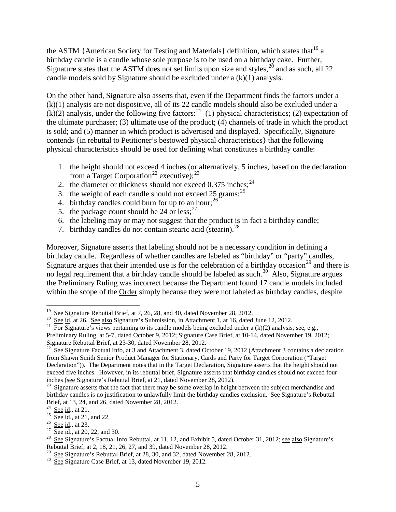the ASTM {American Society for Testing and Materials} definition, which states that  $19$  a birthday candle is a candle whose sole purpose is to be used on a birthday cake. Further, Signature states that the ASTM does not set limits upon size and styles,  $^{20}$  $^{20}$  $^{20}$  and as such, all 22 candle models sold by Signature should be excluded under a (k)(1) analysis.

On the other hand, Signature also asserts that, even if the Department finds the factors under a (k)(1) analysis are not dispositive, all of its 22 candle models should also be excluded under a  $(k)(2)$  analysis, under the following five factors:<sup>21</sup> (1) physical characteristics; (2) expectation of the ultimate purchaser; (3) ultimate use of the product; (4) channels of trade in which the product is sold; and (5) manner in which product is advertised and displayed. Specifically, Signature contends {in rebuttal to Petitioner's bestowed physical characteristics} that the following physical characteristics should be used for defining what constitutes a birthday candle:

- 1. the height should not exceed 4 inches (or alternatively, 5 inches, based on the declaration from a Target Corporation<sup>[22](#page-4-3)</sup> executive):  $2^3$
- 2. the diameter or thickness should not exceed  $0.375$  inches;<sup>[24](#page-4-5)</sup>
- 3. the weight of each candle should not exceed [25](#page-4-6) grams;  $^{25}$
- 4. birthday candles could burn for up to an hour;  $^{26}$  $^{26}$  $^{26}$
- 5. the package count should be 24 or less;  $27$
- 6. the labeling may or may not suggest that the product is in fact a birthday candle;
- 7. birthday candles do not contain stearic acid (stearin). $^{28}$  $^{28}$  $^{28}$

Moreover, Signature asserts that labeling should not be a necessary condition in defining a birthday candle. Regardless of whether candles are labeled as "birthday" or "party" candles, Signature argues that their intended use is for the celebration of a birthday occasion<sup>[29](#page-4-10)</sup> and there is no legal requirement that a birthday candle should be labeled as such.<sup>[30](#page-4-11)</sup> Also, Signature argues the Preliminary Ruling was incorrect because the Department found 17 candle models included within the scope of the Order simply because they were not labeled as birthday candles, despite

<span id="page-4-2"></span>

<span id="page-4-1"></span><span id="page-4-0"></span><sup>&</sup>lt;sup>19</sup> See Signature Rebuttal Brief, at 7, 26, 28, and 40, dated November 28, 2012.<br><sup>20</sup> See id. at 26. See also Signature's Submission, in Attachment 1, at 16, dated June 12, 2012.<br><sup>21</sup> For Signature's views pertaining to Preliminary Ruling, at 5-7, dated October 9, 2012; Signature Case Brief, at 10-14, dated November 19, 2012; Signature Rebuttal Brief, at 23-30, dated November 28, 2012.

<span id="page-4-3"></span> $\frac{22}{2}$  See Signature Factual Info, at 3 and Attachment 3, dated October 19, 2012 (Attachment 3 contains a declaration from Shawn Smith Senior Product Manager for Stationary, Cards and Party for Target Corporation ("Target Declaration")). The Department notes that in the Target Declaration, Signature asserts that the height should not exceed five inches. However, in its rebuttal brief, Signature asserts that birthday candles should not exceed four inches (see Signature's Rebuttal Brief, at 21, dated November 28, 2012).<br><sup>23</sup> Signature asserts that the fact that there may be some overlap in height between the subject merchandise and

<span id="page-4-4"></span>birthday candles is no justification to unlawfully limit the birthday candles exclusion. See Signature's Rebuttal Brief, at 13, 24, and 26, dated November 28, 2012.<br><sup>24</sup> See id., at 21.

<span id="page-4-9"></span><span id="page-4-8"></span>

<span id="page-4-7"></span><span id="page-4-6"></span><span id="page-4-5"></span> $\frac{25}{26}$  See id., at 21, and 22.<br>
<sup>26</sup> See id., at 21, and 22.<br>
<sup>27</sup> See id., at 20, 22, and 30.<br>
<sup>28</sup> See Signature's Factual Info Rebuttal, at 11, 12, and Exhibit 5, dated October 31, 2012; see also Signature's Rebuttal Brief, at 2, 18, 21, 26, 27, and 39, dated November 28, 2012.

<span id="page-4-10"></span> $\frac{29}{30}$  See Signature's Rebuttal Brief, at 28, 30, and 32, dated November 28, 2012.<br><sup>30</sup> See Signature Case Brief, at 13, dated November 19, 2012.

<span id="page-4-11"></span>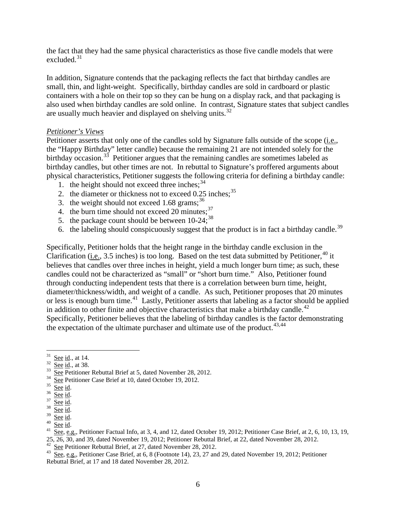the fact that they had the same physical characteristics as those five candle models that were excluded.<sup>[31](#page-5-0)</sup>

In addition, Signature contends that the packaging reflects the fact that birthday candles are small, thin, and light-weight. Specifically, birthday candles are sold in cardboard or plastic containers with a hole on their top so they can be hung on a display rack, and that packaging is also used when birthday candles are sold online. In contrast, Signature states that subject candles are usually much heavier and displayed on shelving units. $32$ 

## *Petitioner's Views*

Petitioner asserts that only one of the candles sold by Signature falls outside of the scope (i.e., the "Happy Birthday" letter candle) because the remaining 21 are not intended solely for the birthday occasion.<sup>33</sup> Petitioner argues that the remaining candles are sometimes labeled as birthday candles, but other times are not. In rebuttal to Signature's proffered arguments about physical characteristics, Petitioner suggests the following criteria for defining a birthday candle:

- 1. the height should not exceed three inches;  $34$
- 2. the diameter or thickness not to exceed  $0.25$  inches;  $35$
- 3. the weight should not exceed  $1.68$  grams;<sup>[36](#page-5-5)</sup>
- 4. the burn time should not exceed 20 minutes; $37$
- 5. the package count should be between  $10-24$ ;  $38$
- 6. the labeling should conspicuously suggest that the product is in fact a birthday candle.<sup>[39](#page-5-8)</sup>

Specifically, Petitioner holds that the height range in the birthday candle exclusion in the Clarification (*i.e.*, 3.5 inches) is too long. Based on the test data submitted by Petitioner,  $40$  it believes that candles over three inches in height, yield a much longer burn time; as such, these candles could not be characterized as "small" or "short burn time." Also, Petitioner found through conducting independent tests that there is a correlation between burn time, height, diameter/thickness/width, and weight of a candle. As such, Petitioner proposes that 20 minutes or less is enough burn time.[41](#page-5-10) Lastly, Petitioner asserts that labeling as a factor should be applied in addition to other finite and objective characteristics that make a birthday candle.<sup>[42](#page-5-11)</sup> Specifically, Petitioner believes that the labeling of birthday candles is the factor demonstrating the expectation of the ultimate purchaser and ultimate use of the product. $43,44$  $43,44$  $43,44$ 

<sup>31</sup> 

<span id="page-5-2"></span>

<span id="page-5-3"></span>

<span id="page-5-4"></span>

<span id="page-5-5"></span>

<span id="page-5-6"></span>

<span id="page-5-7"></span>

<span id="page-5-8"></span>

<span id="page-5-10"></span><span id="page-5-9"></span>

<span id="page-5-1"></span><span id="page-5-0"></span><sup>&</sup>lt;sup>31</sup> See id., at 14.<br>
<sup>32</sup> See id., at 38.<br>
<sup>33</sup> See Petitioner Rebuttal Brief at 5, dated November 28, 2012.<br>
<sup>34</sup> See Petitioner Case Brief at 10, dated October 19, 2012.<br>
<sup>35</sup> <u>See id.</u><br>
<sup>35</sup> <u>See id.</u><br>
<sup>39</sup> <u>See id.</u><br> 25, 26, 30, and 39, dated November 19, 2012; Petitioner Rebuttal Brief, at 22, dated November 28, 2012.<br><sup>42</sup> See Petitioner Rebuttal Brief, at 27, dated November 28, 2012.

<span id="page-5-11"></span>

<span id="page-5-12"></span> $\overline{AB}$  See, e.g., Petitioner Case Brief, at 6, 8 (Footnote 14), 23, 27 and 29, dated November 19, 2012; Petitioner Rebuttal Brief, at 17 and 18 dated November 28, 2012.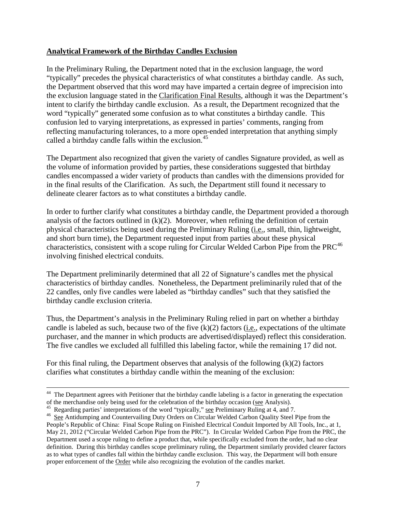## **Analytical Framework of the Birthday Candles Exclusion**

In the Preliminary Ruling, the Department noted that in the exclusion language, the word "typically" precedes the physical characteristics of what constitutes a birthday candle. As such, the Department observed that this word may have imparted a certain degree of imprecision into the exclusion language stated in the Clarification Final Results, although it was the Department's intent to clarify the birthday candle exclusion. As a result, the Department recognized that the word "typically" generated some confusion as to what constitutes a birthday candle. This confusion led to varying interpretations, as expressed in parties' comments, ranging from reflecting manufacturing tolerances, to a more open-ended interpretation that anything simply called a birthday candle falls within the exclusion.<sup>[45](#page-6-0)</sup>

The Department also recognized that given the variety of candles Signature provided, as well as the volume of information provided by parties, these considerations suggested that birthday candles encompassed a wider variety of products than candles with the dimensions provided for in the final results of the Clarification. As such, the Department still found it necessary to delineate clearer factors as to what constitutes a birthday candle.

In order to further clarify what constitutes a birthday candle, the Department provided a thorough analysis of the factors outlined in  $(k)(2)$ . Moreover, when refining the definition of certain physical characteristics being used during the Preliminary Ruling (i.e., small, thin, lightweight, and short burn time), the Department requested input from parties about these physical characteristics, consistent with a scope ruling for Circular Welded Carbon Pipe from the PRC<sup>[46](#page-6-1)</sup> involving finished electrical conduits.

The Department preliminarily determined that all 22 of Signature's candles met the physical characteristics of birthday candles. Nonetheless, the Department preliminarily ruled that of the 22 candles, only five candles were labeled as "birthday candles" such that they satisfied the birthday candle exclusion criteria.

Thus, the Department's analysis in the Preliminary Ruling relied in part on whether a birthday candle is labeled as such, because two of the five (k)(2) factors (i.e., expectations of the ultimate purchaser, and the manner in which products are advertised/displayed) reflect this consideration. The five candles we excluded all fulfilled this labeling factor, while the remaining 17 did not.

For this final ruling, the Department observes that analysis of the following  $(k)(2)$  factors clarifies what constitutes a birthday candle within the meaning of the exclusion:

ı

<sup>&</sup>lt;sup>44</sup> The Department agrees with Petitioner that the birthday candle labeling is a factor in generating the expectation of the merchandise only being used for the celebration of the birthday occasion (see Analysis).

<span id="page-6-1"></span>

<span id="page-6-0"></span><sup>&</sup>lt;sup>45</sup> Regarding parties' interpretations of the word "typically," <u>see</u> Preliminary Ruling at 4, and 7.<br><sup>46</sup> <u>See</u> Antidumping and Countervailing Duty Orders on Circular Welded Carbon Quality Steel Pipe from the People's Republic of China: Final Scope Ruling on Finished Electrical Conduit Imported by All Tools, Inc., at 1, May 21, 2012 ("Circular Welded Carbon Pipe from the PRC"). In Circular Welded Carbon Pipe from the PRC, the Department used a scope ruling to define a product that, while specifically excluded from the order, had no clear definition. During this birthday candles scope preliminary ruling, the Department similarly provided clearer factors as to what types of candles fall within the birthday candle exclusion. This way, the Department will both ensure proper enforcement of the Order while also recognizing the evolution of the candles market.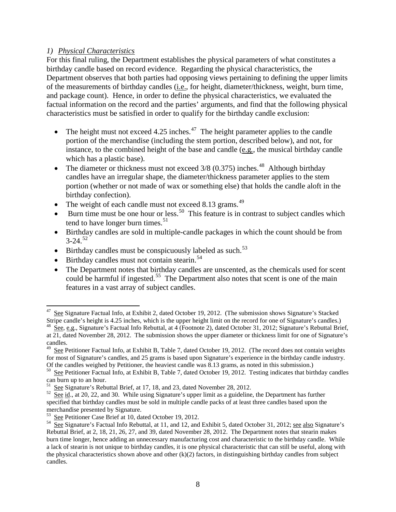## *1) Physical Characteristics*

For this final ruling, the Department establishes the physical parameters of what constitutes a birthday candle based on record evidence. Regarding the physical characteristics, the Department observes that both parties had opposing views pertaining to defining the upper limits of the measurements of birthday candles (i.e., for height, diameter/thickness, weight, burn time, and package count). Hence, in order to define the physical characteristics, we evaluated the factual information on the record and the parties' arguments, and find that the following physical characteristics must be satisfied in order to qualify for the birthday candle exclusion:

- The height must not exceed 4.25 inches.<sup>47</sup> The height parameter applies to the candle portion of the merchandise (including the stem portion, described below), and not, for instance, to the combined height of the base and candle (e.g*.*, the musical birthday candle which has a plastic base).
- The diameter or thickness must not exceed  $3/8$  (0.375) inches.<sup>48</sup> Although birthday candles have an irregular shape, the diameter/thickness parameter applies to the stem portion (whether or not made of wax or something else) that holds the candle aloft in the birthday confection).
- The weight of each candle must not exceed 8.13 grams.<sup>[49](#page-7-2)</sup>
- Burn time must be one hour or less.<sup>[50](#page-7-3)</sup> This feature is in contrast to subject candles which tend to have longer burn times.<sup>[51](#page-7-4)</sup>
- Birthday candles are sold in multiple-candle packages in which the count should be from  $3-24.52$  $3-24.52$
- Birthday candles must be conspicuously labeled as such.<sup>[53](#page-7-6)</sup>
- Birthday candles must not contain stearin.<sup>[54](#page-7-7)</sup>

 $\overline{\phantom{0}}$ 

• The Department notes that birthday candles are unscented, as the chemicals used for scent could be harmful if ingested.<sup>55</sup> The Department also notes that scent is one of the main features in a vast array of subject candles.

<span id="page-7-0"></span> $47$  See Signature Factual Info, at Exhibit 2, dated October 19, 2012. (The submission shows Signature's Stacked Stripe candle's height is 4.25 inches, which is the upper height limit on the record for one of Signature's candles.)

<span id="page-7-1"></span>See, e.g., Signature's Factual Info Rebuttal, at 4 (Footnote 2), dated October 31, 2012; Signature's Rebuttal Brief, at 21, dated November 28, 2012. The submission shows the upper diameter or thickness limit for one of Signature's candles.

<span id="page-7-8"></span><span id="page-7-2"></span><sup>&</sup>lt;sup>49</sup> See Petitioner Factual Info, at Exhibit B, Table 7, dated October 19, 2012. (The record does not contain weights for most of Signature's candles, and 25 grams is based upon Signature's experience in the birthday candle industry.<br>Of the candles weighed by Petitioner, the heaviest candle was 8.13 grams, as noted in this submission.)

<span id="page-7-3"></span> $50$  See Petitioner Factual Info, at Exhibit B, Table 7, dated October 19, 2012. Testing indicates that birthday candles can burn up to an hour.<br>
<sup>51</sup> See Signature's Rebuttal Brief, at 17, 18, and 23, dated November 28, 2012.

<span id="page-7-4"></span>

<span id="page-7-5"></span> $52$  See id., at 20, 22, and 30. While using Signature's upper limit as a guideline, the Department has further specified that birthday candles must be sold in multiple candle packs of at least three candles based upon the merchandise presented by Signature.<br>
<sup>53</sup> See Petitioner Case Brief at 10, dated October 19, 2012.

<span id="page-7-7"></span><span id="page-7-6"></span> $\overline{54}$  See Signature's Factual Info Rebuttal, at 11, and 12, and Exhibit 5, dated October 31, 2012; see also Signature's Rebuttal Brief, at 2, 18, 21, 26, 27, and 39, dated November 28, 2012. The Department notes that stearin makes burn time longer, hence adding an unnecessary manufacturing cost and characteristic to the birthday candle. While a lack of stearin is not unique to birthday candles, it is one physical characteristic that can still be useful, along with the physical characteristics shown above and other  $(k)(2)$  factors, in distinguishing birthday candles from subject candles.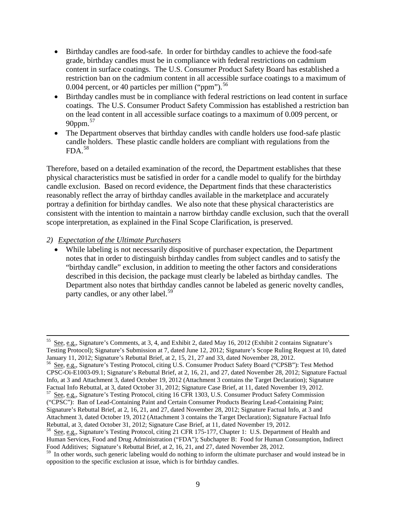- Birthday candles are food-safe. In order for birthday candles to achieve the food-safe grade, birthday candles must be in compliance with federal restrictions on cadmium content in surface coatings. The U.S. Consumer Product Safety Board has established a restriction ban on the cadmium content in all accessible surface coatings to a maximum of 0.004 percent, or 40 particles per million ("ppm"). $56$
- Birthday candles must be in compliance with federal restrictions on lead content in surface coatings. The U.S. Consumer Product Safety Commission has established a restriction ban on the lead content in all accessible surface coatings to a maximum of 0.009 percent, or 90ppm.<sup>[57](#page-8-1)</sup>
- The Department observes that birthday candles with candle holders use food-safe plastic candle holders. These plastic candle holders are compliant with regulations from the  $FDA.<sup>58</sup>$  $FDA.<sup>58</sup>$  $FDA.<sup>58</sup>$

Therefore, based on a detailed examination of the record, the Department establishes that these physical characteristics must be satisfied in order for a candle model to qualify for the birthday candle exclusion. Based on record evidence, the Department finds that these characteristics reasonably reflect the array of birthday candles available in the marketplace and accurately portray a definition for birthday candles. We also note that these physical characteristics are consistent with the intention to maintain a narrow birthday candle exclusion, such that the overall scope interpretation, as explained in the Final Scope Clarification, is preserved.

## *2) Expectation of the Ultimate Purchasers*

ı

• While labeling is not necessarily dispositive of purchaser expectation, the Department notes that in order to distinguish birthday candles from subject candles and to satisfy the "birthday candle" exclusion, in addition to meeting the other factors and considerations described in this decision, the package must clearly be labeled as birthday candles. The Department also notes that birthday candles cannot be labeled as generic novelty candles, party candles, or any other label.<sup>59</sup>

<span id="page-8-1"></span>Rebuttal, at 3, dated October 31, 2012; Signature Case Brief, at 11, dated November 19, 2012.

<sup>55</sup> See, e.g., Signature's Comments, at 3, 4, and Exhibit 2, dated May 16, 2012 (Exhibit 2 contains Signature's Testing Protocol); Signature's Submission at 7, dated June 12, 2012; Signature's Scope Ruling Request at 10, dated

<span id="page-8-0"></span>January 11, 2012; Signature's Rebuttal Brief, at 2, 15, 21, 27 and 33, dated November 28, 2012.<br><sup>56</sup> <u>See, e.g.</u>, Signature's Testing Protocol, citing U.S. Consumer Product Safety Board ("CPSB"): Test Method CPSC-Oi-E1003-09.1; Signature's Rebuttal Brief, at 2, 16, 21, and 27, dated November 28, 2012; Signature Factual Info, at 3 and Attachment 3, dated October 19, 2012 (Attachment 3 contains the Target Declaration); Signature Factual Info Rebuttal, at 3, dated October 31, 2012; Signature Case Brief, at 11, dated November 19, 2012. <sup>57</sup> See, e.g., Signature's Testing Protocol, citing 16 CFR 1303, U.S. Consumer Product Safety Commission ("CPSC"): Ban of Lead-Containing Paint and Certain Consumer Products Bearing Lead-Containing Paint; Signature's Rebuttal Brief, at 2, 16, 21, and 27, dated November 28, 2012; Signature Factual Info, at 3 and Attachment 3, dated October 19, 2012 (Attachment 3 contains the Target Declaration); Signature Factual Info

<span id="page-8-2"></span>See, e.g., Signature's Testing Protocol, citing 21 CFR 175-177, Chapter 1: U.S. Department of Health and Human Services, Food and Drug Administration ("FDA"); Subchapter B: Food for Human Consumption, Indirect Food Additives; Signature's Rebuttal Brief, at 2, 16, 21, and 27, dated November 28, 2012.

<span id="page-8-3"></span><sup>&</sup>lt;sup>59</sup> In other words, such generic labeling would do nothing to inform the ultimate purchaser and would instead be in opposition to the specific exclusion at issue, which is for birthday candles.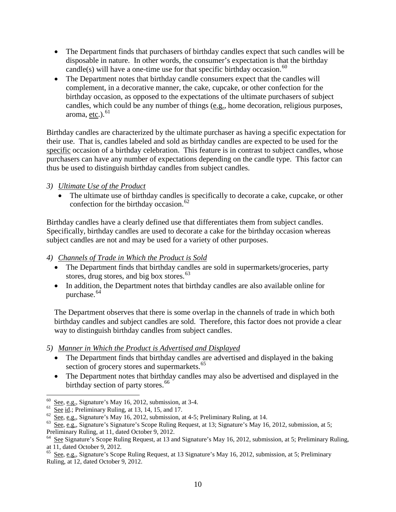- The Department finds that purchasers of birthday candles expect that such candles will be disposable in nature. In other words, the consumer's expectation is that the birthday candle(s) will have a one-time use for that specific birthday occasion.<sup>[60](#page-9-0)</sup>
- The Department notes that birthday candle consumers expect that the candles will complement, in a decorative manner, the cake, cupcake, or other confection for the birthday occasion, as opposed to the expectations of the ultimate purchasers of subject candles, which could be any number of things (e.g., home decoration, religious purposes, aroma, etc.). $^{61}$  $^{61}$  $^{61}$

Birthday candles are characterized by the ultimate purchaser as having a specific expectation for their use. That is, candles labeled and sold as birthday candles are expected to be used for the specific occasion of a birthday celebration. This feature is in contrast to subject candles, whose purchasers can have any number of expectations depending on the candle type. This factor can thus be used to distinguish birthday candles from subject candles.

# *3) Ultimate Use of the Product*

• The ultimate use of birthday candles is specifically to decorate a cake, cupcake, or other confection for the birthday occasion. $62$ 

Birthday candles have a clearly defined use that differentiates them from subject candles. Specifically, birthday candles are used to decorate a cake for the birthday occasion whereas subject candles are not and may be used for a variety of other purposes.

## *4) Channels of Trade in Which the Product is Sold*

- The Department finds that birthday candles are sold in supermarkets/groceries, party stores, drug stores, and big box stores. $63$
- In addition, the Department notes that birthday candles are also available online for purchase.<sup>[64](#page-9-4)</sup>

The Department observes that there is some overlap in the channels of trade in which both birthday candles and subject candles are sold. Therefore, this factor does not provide a clear way to distinguish birthday candles from subject candles.

- *5) Manner in Which the Product is Advertised and Displayed*
	- The Department finds that birthday candles are advertised and displayed in the baking section of grocery stores and supermarkets.<sup>[65](#page-9-5)</sup>
	- The Department notes that birthday candles may also be advertised and displayed in the birthday section of party stores.<sup>[66](#page-9-6)</sup>

<span id="page-9-2"></span>

<span id="page-9-3"></span>

<span id="page-9-6"></span><span id="page-9-1"></span><span id="page-9-0"></span><sup>&</sup>lt;sup>60</sup> See, e.g., Signature's May 16, 2012, submission, at 3-4.<br>
<sup>61</sup> See id.; Preliminary Ruling, at 13, 14, 15, and 17.<br>
<sup>62</sup> See, e.g., Signature's May 16, 2012, submission, at 4-5; Preliminary Ruling, at 14.<br>
<sup>63</sup> See, Preliminary Ruling, at 11, dated October 9, 2012.

<span id="page-9-4"></span><sup>&</sup>lt;sup>64</sup> See Signature's Scope Ruling Request, at 13 and Signature's May 16, 2012, submission, at 5; Preliminary Ruling, at 11, dated October 9, 2012.

<span id="page-9-5"></span><sup>&</sup>lt;sup>65</sup> See, e.g., Signature's Scope Ruling Request, at 13 Signature's May 16, 2012, submission, at 5; Preliminary Ruling, at 12, dated October 9, 2012.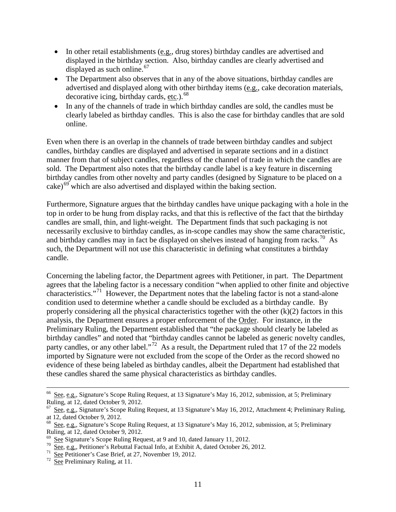- In other retail establishments (e.g., drug stores) birthday candles are advertised and displayed in the birthday section. Also, birthday candles are clearly advertised and displayed as such online. $67$
- The Department also observes that in any of the above situations, birthday candles are advertised and displayed along with other birthday items (e.g., cake decoration materials, decorative icing, birthday cards, etc.). $^{68}$  $^{68}$  $^{68}$
- In any of the channels of trade in which birthday candles are sold, the candles must be clearly labeled as birthday candles. This is also the case for birthday candles that are sold online.

Even when there is an overlap in the channels of trade between birthday candles and subject candles, birthday candles are displayed and advertised in separate sections and in a distinct manner from that of subject candles, regardless of the channel of trade in which the candles are sold. The Department also notes that the birthday candle label is a key feature in discerning birthday candles from other novelty and party candles (designed by Signature to be placed on a cake)<sup>[69](#page-10-2)</sup> which are also advertised and displayed within the baking section.

Furthermore, Signature argues that the birthday candles have unique packaging with a hole in the top in order to be hung from display racks, and that this is reflective of the fact that the birthday candles are small, thin, and light-weight. The Department finds that such packaging is not necessarily exclusive to birthday candles, as in-scope candles may show the same characteristic, and birthday candles may in fact be displayed on shelves instead of hanging from racks.<sup>70</sup> As such, the Department will not use this characteristic in defining what constitutes a birthday candle.

Concerning the labeling factor, the Department agrees with Petitioner, in part. The Department agrees that the labeling factor is a necessary condition "when applied to other finite and objective characteristics."[71](#page-10-4) However, the Department notes that the labeling factor is not a stand-alone condition used to determine whether a candle should be excluded as a birthday candle. By properly considering all the physical characteristics together with the other (k)(2) factors in this analysis, the Department ensures a proper enforcement of the Order. For instance, in the Preliminary Ruling, the Department established that "the package should clearly be labeled as birthday candles" and noted that "birthday candles cannot be labeled as generic novelty candles, party candles, or any other label."<sup>[72](#page-10-5)</sup> As a result, the Department ruled that 17 of the 22 models imported by Signature were not excluded from the scope of the Order as the record showed no evidence of these being labeled as birthday candles, albeit the Department had established that these candles shared the same physical characteristics as birthday candles.

ı

<sup>&</sup>lt;sup>66</sup> See, e.g., Signature's Scope Ruling Request, at 13 Signature's May 16, 2012, submission, at 5; Preliminary Ruling, at 12, dated October 9, 2012.

<span id="page-10-0"></span><sup>67</sup> See, e.g., Signature's Scope Ruling Request, at 13 Signature's May 16, 2012, Attachment 4; Preliminary Ruling, at 12, dated October 9, 2012.

<span id="page-10-1"></span><sup>&</sup>lt;sup>68</sup> See, e.g., Signature's Scope Ruling Request, at 13 Signature's May 16, 2012, submission, at 5; Preliminary Ruling, at 12, dated October 9, 2012.

<span id="page-10-3"></span><span id="page-10-2"></span><sup>&</sup>lt;sup>69</sup> See Signature's Scope Ruling Request, at 9 and 10, dated January 11, 2012.<br><sup>70</sup> See, e.g., Petitioner's Rebuttal Factual Info, at Exhibit A, dated October 26, 2012.<br><sup>71</sup> See Petitioner's Case Brief, at 27, November 1

<span id="page-10-4"></span>

<span id="page-10-5"></span>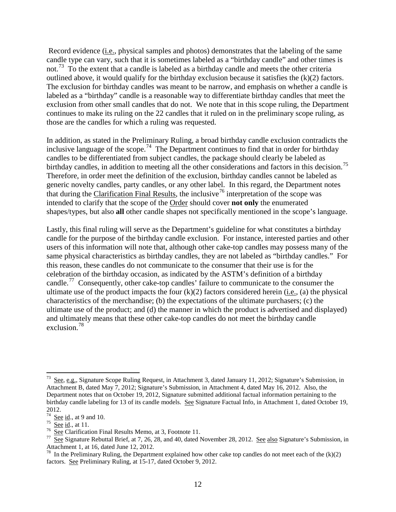Record evidence (i.e., physical samples and photos) demonstrates that the labeling of the same candle type can vary, such that it is sometimes labeled as a "birthday candle" and other times is not.<sup>[73](#page-11-0)</sup> To the extent that a candle is labeled as a birthday candle and meets the other criteria outlined above, it would qualify for the birthday exclusion because it satisfies the (k)(2) factors. The exclusion for birthday candles was meant to be narrow, and emphasis on whether a candle is labeled as a "birthday" candle is a reasonable way to differentiate birthday candles that meet the exclusion from other small candles that do not. We note that in this scope ruling, the Department continues to make its ruling on the 22 candles that it ruled on in the preliminary scope ruling, as those are the candles for which a ruling was requested.

In addition, as stated in the Preliminary Ruling, a broad birthday candle exclusion contradicts the inclusive language of the scope.<sup>[74](#page-11-1)</sup> The Department continues to find that in order for birthday candles to be differentiated from subject candles, the package should clearly be labeled as birthday candles, in addition to meeting all the other considerations and factors in this decision.<sup>75</sup> Therefore, in order meet the definition of the exclusion, birthday candles cannot be labeled as generic novelty candles, party candles, or any other label. In this regard, the Department notes that during the Clarification Final Results, the inclusive<sup>[76](#page-11-3)</sup> interpretation of the scope was intended to clarify that the scope of the Order should cover **not only** the enumerated shapes/types, but also **all** other candle shapes not specifically mentioned in the scope's language.

Lastly, this final ruling will serve as the Department's guideline for what constitutes a birthday candle for the purpose of the birthday candle exclusion. For instance, interested parties and other users of this information will note that, although other cake-top candles may possess many of the same physical characteristics as birthday candles, they are not labeled as "birthday candles." For this reason, these candles do not communicate to the consumer that their use is for the celebration of the birthday occasion, as indicated by the ASTM's definition of a birthday candle.<sup>77</sup> Consequently, other cake-top candles' failure to communicate to the consumer the ultimate use of the product impacts the four  $(k)(2)$  factors considered herein (i.e., (a) the physical characteristics of the merchandise; (b) the expectations of the ultimate purchasers; (c) the ultimate use of the product; and (d) the manner in which the product is advertised and displayed) and ultimately means that these other cake-top candles do not meet the birthday candle exclusion.[78](#page-11-5) 

<span id="page-11-0"></span><sup>73</sup> See, e.g., Signature Scope Ruling Request, in Attachment 3, dated January 11, 2012; Signature's Submission, in Attachment B, dated May 7, 2012; Signature's Submission, in Attachment 4, dated May 16, 2012. Also, the Department notes that on October 19, 2012, Signature submitted additional factual information pertaining to the birthday candle labeling for 13 of its candle models. See Signature Factual Info, in Attachment 1, dated October 19,  $^{74}$  See id., at 9 and 10.

<span id="page-11-4"></span><span id="page-11-3"></span>

<span id="page-11-2"></span><span id="page-11-1"></span><sup>&</sup>lt;sup>75</sup> See id., at 11.<br><sup>76</sup> See Clarification Final Results Memo, at 3, Footnote 11.<br><sup>77</sup> See Signature Rebuttal Brief, at 7, 26, 28, and 40, dated November 28, 2012. See also Signature's Submission, in Attachment 1, at 16, dated June 12, 2012.

<span id="page-11-5"></span><sup>&</sup>lt;sup>78</sup> In the Preliminary Ruling, the Department explained how other cake top candles do not meet each of the  $(k)(2)$ factors. See Preliminary Ruling, at 15-17, dated October 9, 2012.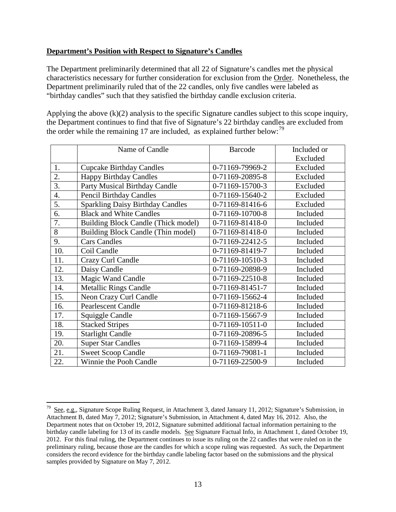## **Department's Position with Respect to Signature's Candles**

The Department preliminarily determined that all 22 of Signature's candles met the physical characteristics necessary for further consideration for exclusion from the Order. Nonetheless, the Department preliminarily ruled that of the 22 candles, only five candles were labeled as "birthday candles" such that they satisfied the birthday candle exclusion criteria.

Applying the above (k)(2) analysis to the specific Signature candles subject to this scope inquiry, the Department continues to find that five of Signature's 22 birthday candles are excluded from the order while the remaining 17 are included, as explained further below:  $^{79}$  $^{79}$  $^{79}$ 

|                  | Name of Candle                             | <b>Barcode</b>  | Included or |
|------------------|--------------------------------------------|-----------------|-------------|
|                  |                                            |                 | Excluded    |
| 1.               | <b>Cupcake Birthday Candles</b>            | 0-71169-79969-2 | Excluded    |
| 2.               | <b>Happy Birthday Candles</b>              | 0-71169-20895-8 | Excluded    |
| 3.               | Party Musical Birthday Candle              | 0-71169-15700-3 | Excluded    |
| $\overline{4}$ . | <b>Pencil Birthday Candles</b>             | 0-71169-15640-2 | Excluded    |
| $\overline{5}$ . | <b>Sparkling Daisy Birthday Candles</b>    | 0-71169-81416-6 | Excluded    |
| 6.               | <b>Black and White Candles</b>             | 0-71169-10700-8 | Included    |
| 7.               | <b>Building Block Candle (Thick model)</b> | 0-71169-81418-0 | Included    |
| 8                | Building Block Candle (Thin model)         | 0-71169-81418-0 | Included    |
| 9.               | <b>Cars Candles</b>                        | 0-71169-22412-5 | Included    |
| 10.              | Coil Candle                                | 0-71169-81419-7 | Included    |
| 11.              | Crazy Curl Candle                          | 0-71169-10510-3 | Included    |
| 12.              | Daisy Candle                               | 0-71169-20898-9 | Included    |
| 13.              | Magic Wand Candle                          | 0-71169-22510-8 | Included    |
| 14.              | <b>Metallic Rings Candle</b>               | 0-71169-81451-7 | Included    |
| 15.              | Neon Crazy Curl Candle                     | 0-71169-15662-4 | Included    |
| 16.              | <b>Pearlescent Candle</b>                  | 0-71169-81218-6 | Included    |
| 17.              | Squiggle Candle                            | 0-71169-15667-9 | Included    |
| 18.              | <b>Stacked Stripes</b>                     | 0-71169-10511-0 | Included    |
| 19.              | <b>Starlight Candle</b>                    | 0-71169-20896-5 | Included    |
| 20.              | <b>Super Star Candles</b>                  | 0-71169-15899-4 | Included    |
| 21.              | <b>Sweet Scoop Candle</b>                  | 0-71169-79081-1 | Included    |
| 22.              | Winnie the Pooh Candle                     | 0-71169-22500-9 | Included    |

<span id="page-12-0"></span> $79$  See, e.g., Signature Scope Ruling Request, in Attachment 3, dated January 11, 2012; Signature's Submission, in Attachment B, dated May 7, 2012; Signature's Submission, in Attachment 4, dated May 16, 2012. Also, the Department notes that on October 19, 2012, Signature submitted additional factual information pertaining to the birthday candle labeling for 13 of its candle models. See Signature Factual Info, in Attachment 1, dated October 19, 2012. For this final ruling, the Department continues to issue its ruling on the 22 candles that were ruled on in the preliminary ruling, because those are the candles for which a scope ruling was requested. As such, the Department considers the record evidence for the birthday candle labeling factor based on the submissions and the physical samples provided by Signature on May 7, 2012.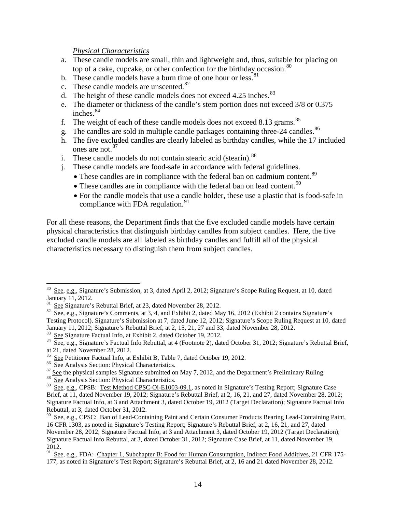## *Physical Characteristics*

- a. These candle models are small, thin and lightweight and, thus, suitable for placing on top of a cake, cupcake, or other confection for the birthday occasion.<sup>[80](#page-13-0)</sup>
- b. These candle models have a burn time of one hour or less.<sup>[81](#page-13-1)</sup>
- c. These candle models are unscented.<sup>[82](#page-13-2)</sup>
- d. The height of these candle models does not exceed  $4.25$  inches.<sup>[83](#page-13-3)</sup>
- e. The diameter or thickness of the candle's stem portion does not exceed 3/8 or 0.375 inches.[84](#page-13-4)
- f. The weight of each of these candle models does not exceed  $8.13$  grams.<sup>[85](#page-13-5)</sup>
- g. The candles are sold in multiple candle packages containing three-24 candles.<sup>[86](#page-13-6)</sup>
- h. The five excluded candles are clearly labeled as birthday candles, while the 17 included ones are not.<sup>[87](#page-13-7)</sup>
- i. These candle models do not contain stearic acid (stearin).<sup>[88](#page-13-8)</sup>
- j. These candle models are food-safe in accordance with federal guidelines.
	- These candles are in compliance with the federal ban on cadmium content.<sup>[89](#page-13-9)</sup>
	- $\bullet$  These candles are in compliance with the federal ban on lead content.<sup>[90](#page-13-10)</sup>
	- For the candle models that use a candle holder, these use a plastic that is food-safe in compliance with FDA regulation.<sup>[91](#page-13-11)</sup>

For all these reasons, the Department finds that the five excluded candle models have certain physical characteristics that distinguish birthday candles from subject candles. Here, the five excluded candle models are all labeled as birthday candles and fulfill all of the physical characteristics necessary to distinguish them from subject candles.

<span id="page-13-0"></span>See, e.g., Signature's Submission, at 3, dated April 2, 2012; Signature's Scope Ruling Request, at 10, dated January 11, 2012.<br><sup>81</sup> See Signature's Rebuttal Brief, at 23, dated November 28, 2012.

<span id="page-13-2"></span><span id="page-13-1"></span><sup>&</sup>lt;sup>82</sup> See, e.g., Signature's Comments, at 3, 4, and Exhibit 2, dated May 16, 2012 (Exhibit 2 contains Signature's Testing Protocol). Signature's Submission at 7, dated June 12, 2012; Signature's Scope Ruling Request at 10, dated January 11, 2012; Signature's Rebuttal Brief, at 2, 15, 21, 27 and 33, dated November 28, 2012.

<span id="page-13-4"></span><span id="page-13-3"></span><sup>&</sup>lt;sup>83</sup> See Signature Factual Info, at Exhibit 2, dated October 19, 2012.<br><sup>84</sup> See, e.g., Signature's Factual Info Rebuttal, at 4 (Footnote 2), dated October 31, 2012; Signature's Rebuttal Brief, at 21, dated November 28, 20

<span id="page-13-6"></span><span id="page-13-5"></span><sup>&</sup>lt;sup>85</sup> See Petitioner Factual Info, at Exhibit B, Table 7, dated October 19, 2012.<br><sup>86</sup> See Analysis Section: Physical Characteristics.<br><sup>87</sup> <u>See</u> the physical samples Signature submitted on May 7, 2012, and the Department'

<span id="page-13-7"></span>

<span id="page-13-9"></span><span id="page-13-8"></span><sup>&</sup>lt;sup>89</sup> See, e.g., CPSB: Test Method CPSC-Oi-E1003-09.1, as noted in Signature's Testing Report; Signature Case Brief, at 11, dated November 19, 2012; Signature's Rebuttal Brief, at 2, 16, 21, and 27, dated November 28, 2012; Signature Factual Info, at 3 and Attachment 3, dated October 19, 2012 (Target Declaration); Signature Factual Info Rebuttal, at 3, dated October 31, 2012.

<span id="page-13-10"></span><sup>90</sup> See, e.g., CPSC: Ban of Lead-Containing Paint and Certain Consumer Products Bearing Lead-Containing Paint, 16 CFR 1303, as noted in Signature's Testing Report; Signature's Rebuttal Brief, at 2, 16, 21, and 27, dated November 28, 2012; Signature Factual Info, at 3 and Attachment 3, dated October 19, 2012 (Target Declaration); Signature Factual Info Rebuttal, at 3, dated October 31, 2012; Signature Case Brief, at 11, dated November 19, 2012.

<span id="page-13-11"></span><sup>&</sup>lt;sup>91</sup> See, e.g., FDA: Chapter 1, Subchapter B: Food for Human Consumption, Indirect Food Additives, 21 CFR 175-177, as noted in Signature's Test Report; Signature's Rebuttal Brief, at 2, 16 and 21 dated November 28, 2012.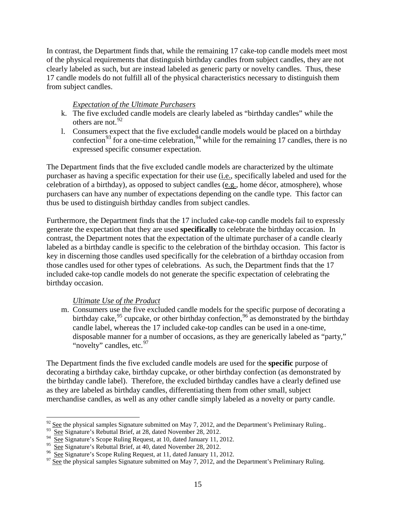In contrast, the Department finds that, while the remaining 17 cake-top candle models meet most of the physical requirements that distinguish birthday candles from subject candles, they are not clearly labeled as such, but are instead labeled as generic party or novelty candles. Thus, these 17 candle models do not fulfill all of the physical characteristics necessary to distinguish them from subject candles.

## *Expectation of the Ultimate Purchasers*

- k. The five excluded candle models are clearly labeled as "birthday candles" while the others are not.  $92$
- l. Consumers expect that the five excluded candle models would be placed on a birthday confection<sup>[93](#page-14-1)</sup> for a one-time celebration,<sup>[94](#page-14-2)</sup> while for the remaining 17 candles, there is no expressed specific consumer expectation.

The Department finds that the five excluded candle models are characterized by the ultimate purchaser as having a specific expectation for their use (*i.e.*, specifically labeled and used for the celebration of a birthday), as opposed to subject candles (e.g., home décor, atmosphere), whose purchasers can have any number of expectations depending on the candle type. This factor can thus be used to distinguish birthday candles from subject candles.

Furthermore, the Department finds that the 17 included cake-top candle models fail to expressly generate the expectation that they are used **specifically** to celebrate the birthday occasion. In contrast, the Department notes that the expectation of the ultimate purchaser of a candle clearly labeled as a birthday candle is specific to the celebration of the birthday occasion. This factor is key in discerning those candles used specifically for the celebration of a birthday occasion from those candles used for other types of celebrations. As such, the Department finds that the 17 included cake-top candle models do not generate the specific expectation of celebrating the birthday occasion.

# *Ultimate Use of the Product*

m. Consumers use the five excluded candle models for the specific purpose of decorating a birthday cake,<sup>[95](#page-14-3)</sup> cupcake, or other birthday confection,<sup>[96](#page-14-4)</sup> as demonstrated by the birthday candle label, whereas the 17 included cake-top candles can be used in a one-time, disposable manner for a number of occasions, as they are generically labeled as "party," "novelty" candles, etc.  $97$ 

The Department finds the five excluded candle models are used for the **specific** purpose of decorating a birthday cake, birthday cupcake, or other birthday confection (as demonstrated by the birthday candle label). Therefore, the excluded birthday candles have a clearly defined use as they are labeled as birthday candles, differentiating them from other small, subject merchandise candles, as well as any other candle simply labeled as a novelty or party candle.

<span id="page-14-0"></span><sup>&</sup>lt;sup>92</sup> See the physical samples Signature submitted on May 7, 2012, and the Department's Preliminary Ruling..<br><sup>93</sup> See Signature's Pobuttel Priof, at 28, dated November 28, 2012.

See Signature's Rebuttal Brief, at 28, dated November 28, 2012.

<span id="page-14-2"></span><span id="page-14-1"></span> $\frac{94}{5}$  See Signature's Scope Ruling Request, at 10, dated January 11, 2012.

<span id="page-14-5"></span><span id="page-14-4"></span><span id="page-14-3"></span><sup>&</sup>lt;sup>96</sup> See Signature's Scope Ruling Request, at 11, dated January 11, 2012.<br><sup>97</sup> <u>See</u> the physical samples Signature submitted on May 7, 2012, and the Department's Preliminary Ruling.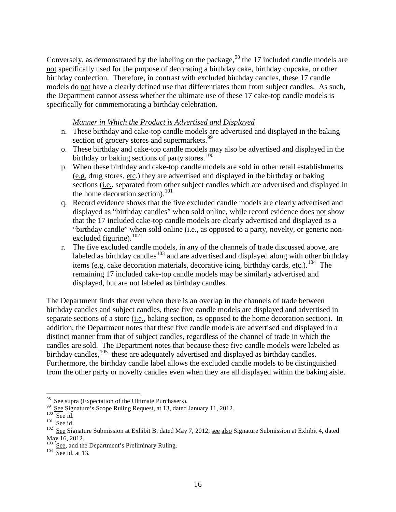Conversely, as demonstrated by the labeling on the package,  $98$  the 17 included candle models are not specifically used for the purpose of decorating a birthday cake, birthday cupcake, or other birthday confection. Therefore, in contrast with excluded birthday candles, these 17 candle models do not have a clearly defined use that differentiates them from subject candles. As such, the Department cannot assess whether the ultimate use of these 17 cake-top candle models is specifically for commemorating a birthday celebration.

#### *Manner in Which the Product is Advertised and Displayed*

- n. These birthday and cake-top candle models are advertised and displayed in the baking section of grocery stores and supermarkets.<sup>[99](#page-15-1)</sup>
- o. These birthday and cake-top candle models may also be advertised and displayed in the birthday or baking sections of party stores. $100$
- p. When these birthday and cake-top candle models are sold in other retail establishments (e.g. drug stores, etc.) they are advertised and displayed in the birthday or baking sections (i.e., separated from other subject candles which are advertised and displayed in the home decoration section).<sup>[101](#page-15-3)</sup>
- q. Record evidence shows that the five excluded candle models are clearly advertised and displayed as "birthday candles" when sold online, while record evidence does not show that the 17 included cake-top candle models are clearly advertised and displayed as a "birthday candle" when sold online (i.e., as opposed to a party, novelty, or generic nonexcluded figurine). $102$
- r. The five excluded candle models, in any of the channels of trade discussed above, are labeled as birthday candles<sup>[103](#page-15-5)</sup> and are advertised and displayed along with other birthday items (e.g. cake decoration materials, decorative icing, birthday cards, etc.).<sup>104</sup> The remaining 17 included cake-top candle models may be similarly advertised and displayed, but are not labeled as birthday candles.

The Department finds that even when there is an overlap in the channels of trade between birthday candles and subject candles, these five candle models are displayed and advertised in separate sections of a store (i.e., baking section, as opposed to the home decoration section). In addition, the Department notes that these five candle models are advertised and displayed in a distinct manner from that of subject candles, regardless of the channel of trade in which the candles are sold. The Department notes that because these five candle models were labeled as birthday candles,  $105$  these are adequately advertised and displayed as birthday candles. Furthermore, the birthday candle label allows the excluded candle models to be distinguished from the other party or novelty candles even when they are all displayed within the baking aisle.

<span id="page-15-2"></span>

<span id="page-15-4"></span><span id="page-15-3"></span>

<span id="page-15-1"></span><span id="page-15-0"></span><sup>&</sup>lt;sup>98</sup> See supra (Expectation of the Ultimate Purchasers).<br><sup>99</sup> See Signature's Scope Ruling Request, at 13, dated January 11, 2012.<br><sup>100</sup> See <u>id</u>.<br><sup>101</sup> See Id.<br><sup>102</sup> See Signature Submission at Exhibit B, dated May 7, 20 May 16, 2012.

<span id="page-15-6"></span><span id="page-15-5"></span> $\frac{103}{104}$  See, and the Department's Preliminary Ruling.<br>  $\frac{104}{104}$  See id. at 13.

<span id="page-15-7"></span>